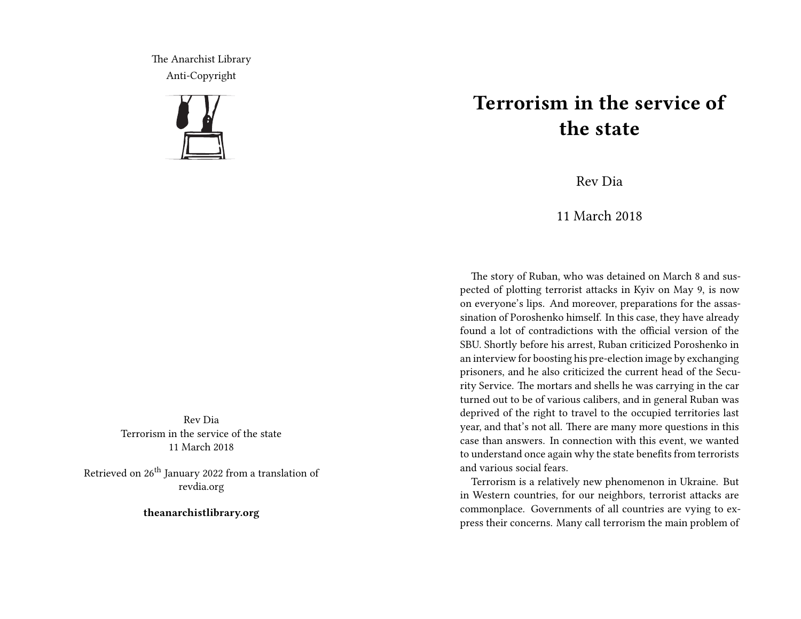The Anarchist Library Anti-Copyright



Rev Dia Terrorism in the service of the state 11 March 2018

Retrieved on 26<sup>th</sup> January 2022 from a translation of revdia.org

**theanarchistlibrary.org**

## **Terrorism in the service of the state**

Rev Dia

11 March 2018

The story of Ruban, who was detained on March 8 and suspected of plotting terrorist attacks in Kyiv on May 9, is now on everyone's lips. And moreover, preparations for the assassination of Poroshenko himself. In this case, they have already found a lot of contradictions with the official version of the SBU. Shortly before his arrest, Ruban criticized Poroshenko in an interview for boosting his pre-election image by exchanging prisoners, and he also criticized the current head of the Security Service. The mortars and shells he was carrying in the car turned out to be of various calibers, and in general Ruban was deprived of the right to travel to the occupied territories last year, and that's not all. There are many more questions in this case than answers. In connection with this event, we wanted to understand once again why the state benefits from terrorists and various social fears.

Terrorism is a relatively new phenomenon in Ukraine. But in Western countries, for our neighbors, terrorist attacks are commonplace. Governments of all countries are vying to express their concerns. Many call terrorism the main problem of